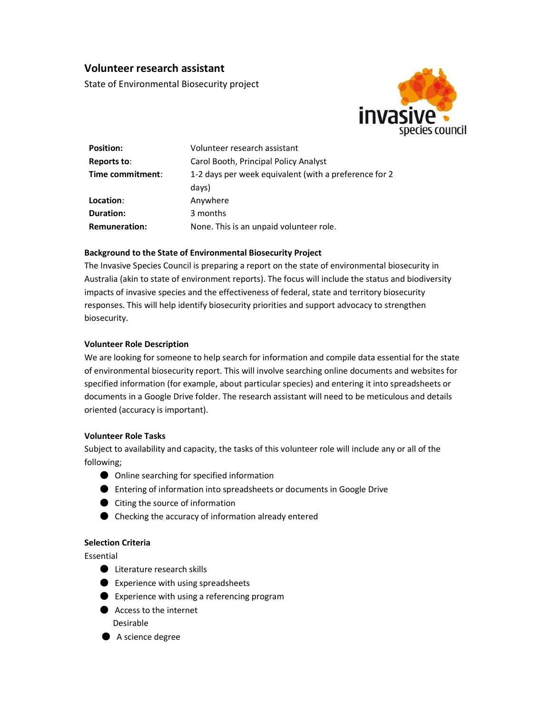# Volunteer research assistant

State of Environmental Biosecurity project



| <b>Position:</b> | Volunteer research assistant                          |
|------------------|-------------------------------------------------------|
| Reports to:      | Carol Booth, Principal Policy Analyst                 |
| Time commitment: | 1-2 days per week equivalent (with a preference for 2 |
|                  | days)                                                 |
| Location:        | Anywhere                                              |
| Duration:        | 3 months                                              |
| Remuneration:    | None. This is an unpaid volunteer role.               |

### Background to the State of Environmental Biosecurity Project

The Invasive Species Council is preparing a report on the state of environmental biosecurity in Australia (akin to state of environment reports). The focus will include the status and biodiversity impacts of invasive species and the effectiveness of federal, state and territory biosecurity responses. This will help identify biosecurity priorities and support advocacy to strengthen biosecurity.

### Volunteer Role Description

We are looking for someone to help search for information and compile data essential for the state of environmental biosecurity report. This will involve searching online documents and websites for specified information (for example, about particular species) and entering it into spreadsheets or documents in a Google Drive folder. The research assistant will need to be meticulous and details oriented (accuracy is important).

## Volunteer Role Tasks

Subject to availability and capacity, the tasks of this volunteer role will include any or all of the following;

- Online searching for specified information
- Entering of information into spreadsheets or documents in Google Drive
- Citing the source of information
- Checking the accuracy of information already entered

# Selection Criteria

Essential

- Literature research skills
- Experience with using spreadsheets
- $\bullet$  Experience with using a referencing program
- Access to the internet Desirable
- A science degree